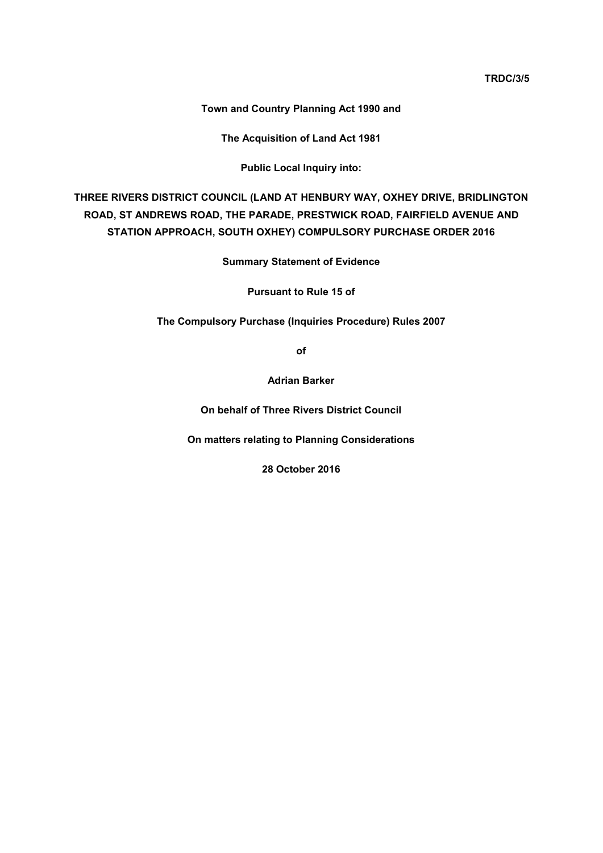**TRDC/3/5**

**Town and Country Planning Act 1990 and**

**The Acquisition of Land Act 1981**

**Public Local Inquiry into:**

**THREE RIVERS DISTRICT COUNCIL (LAND AT HENBURY WAY, OXHEY DRIVE, BRIDLINGTON ROAD, ST ANDREWS ROAD, THE PARADE, PRESTWICK ROAD, FAIRFIELD AVENUE AND STATION APPROACH, SOUTH OXHEY) COMPULSORY PURCHASE ORDER 2016**

**Summary Statement of Evidence**

**Pursuant to Rule 15 of**

**The Compulsory Purchase (Inquiries Procedure) Rules 2007**

**of**

**Adrian Barker**

**On behalf of Three Rivers District Council**

**On matters relating to Planning Considerations**

**28 October 2016**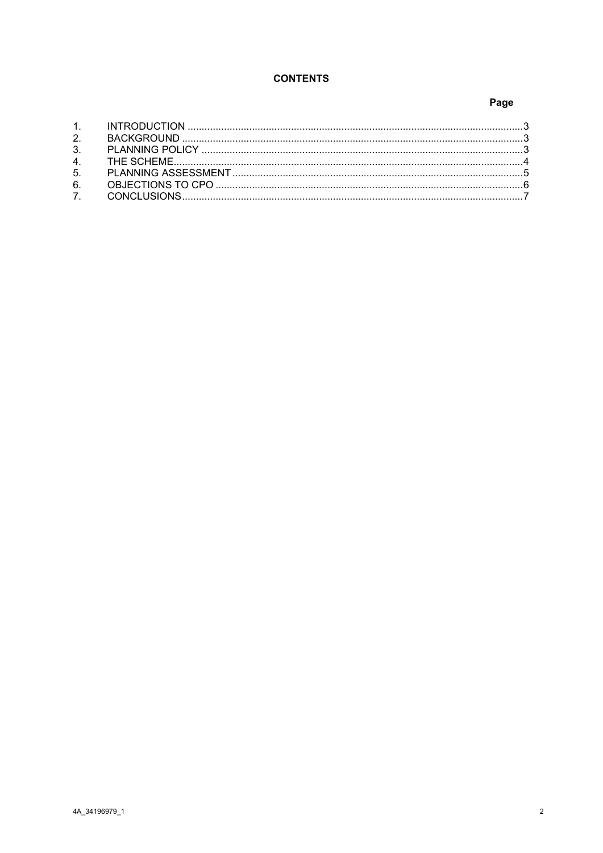## **CONTENTS**

## Page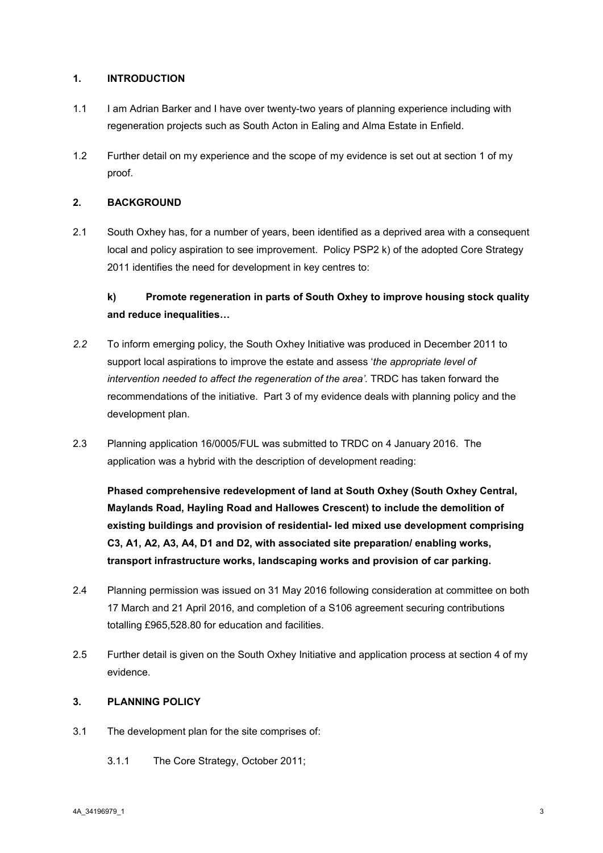#### <span id="page-2-0"></span>**1. INTRODUCTION**

- 1.1 I am Adrian Barker and I have over twenty-two years of planning experience including with regeneration projects such as South Acton in Ealing and Alma Estate in Enfield.
- 1.2 Further detail on my experience and the scope of my evidence is set out at section 1 of my proof.

### <span id="page-2-1"></span>**2. BACKGROUND**

2.1 South Oxhey has, for a number of years, been identified as a deprived area with a consequent local and policy aspiration to see improvement. Policy PSP2 k) of the adopted Core Strategy 2011 identifies the need for development in key centres to:

# **k) Promote regeneration in parts of South Oxhey to improve housing stock quality and reduce inequalities…**

- *2.2* To inform emerging policy, the South Oxhey Initiative was produced in December 2011 to support local aspirations to improve the estate and assess '*the appropriate level of intervention needed to affect the regeneration of the area'.* TRDC has taken forward the recommendations of the initiative. Part 3 of my evidence deals with planning policy and the development plan.
- 2.3 Planning application 16/0005/FUL was submitted to TRDC on 4 January 2016. The application was a hybrid with the description of development reading:

**Phased comprehensive redevelopment of land at South Oxhey (South Oxhey Central, Maylands Road, Hayling Road and Hallowes Crescent) to include the demolition of existing buildings and provision of residential- led mixed use development comprising C3, A1, A2, A3, A4, D1 and D2, with associated site preparation/ enabling works, transport infrastructure works, landscaping works and provision of car parking.**

- 2.4 Planning permission was issued on 31 May 2016 following consideration at committee on both 17 March and 21 April 2016, and completion of a S106 agreement securing contributions totalling £965,528.80 for education and facilities.
- 2.5 Further detail is given on the South Oxhey Initiative and application process at section 4 of my evidence.

#### <span id="page-2-2"></span>**3. PLANNING POLICY**

- 3.1 The development plan for the site comprises of:
	- 3.1.1 The Core Strategy, October 2011;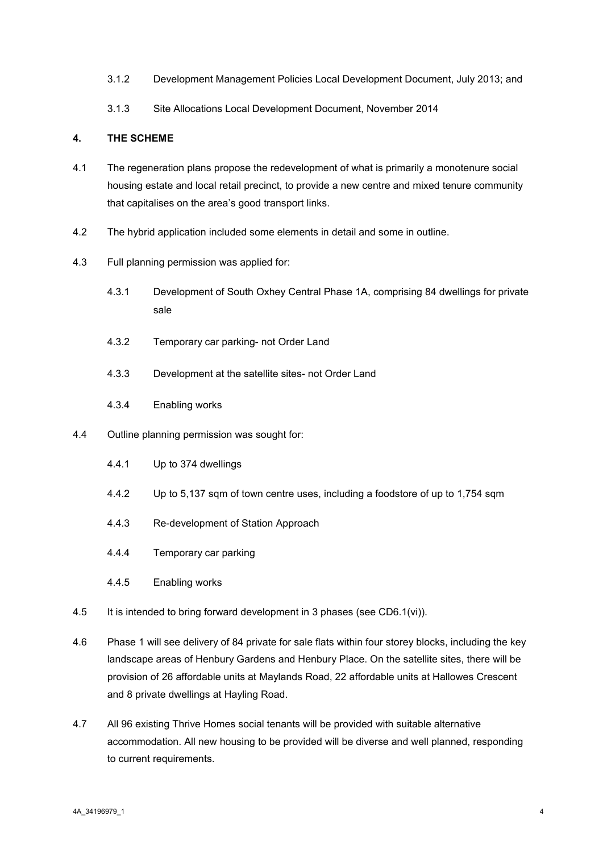- 3.1.2 Development Management Policies Local Development Document, July 2013; and
- <span id="page-3-0"></span>3.1.3 Site Allocations Local Development Document, November 2014

#### **4. THE SCHEME**

- 4.1 The regeneration plans propose the redevelopment of what is primarily a monotenure social housing estate and local retail precinct, to provide a new centre and mixed tenure community that capitalises on the area's good transport links.
- 4.2 The hybrid application included some elements in detail and some in outline.
- 4.3 Full planning permission was applied for:
	- 4.3.1 Development of South Oxhey Central Phase 1A, comprising 84 dwellings for private sale
	- 4.3.2 Temporary car parking- not Order Land
	- 4.3.3 Development at the satellite sites- not Order Land
	- 4.3.4 Enabling works
- 4.4 Outline planning permission was sought for:
	- 4.4.1 Up to 374 dwellings
	- 4.4.2 Up to 5,137 sqm of town centre uses, including a foodstore of up to 1,754 sqm
	- 4.4.3 Re-development of Station Approach
	- 4.4.4 Temporary car parking
	- 4.4.5 Enabling works
- 4.5 It is intended to bring forward development in 3 phases (see CD6.1(vi)).
- 4.6 Phase 1 will see delivery of 84 private for sale flats within four storey blocks, including the key landscape areas of Henbury Gardens and Henbury Place. On the satellite sites, there will be provision of 26 affordable units at Maylands Road, 22 affordable units at Hallowes Crescent and 8 private dwellings at Hayling Road.
- 4.7 All 96 existing Thrive Homes social tenants will be provided with suitable alternative accommodation. All new housing to be provided will be diverse and well planned, responding to current requirements.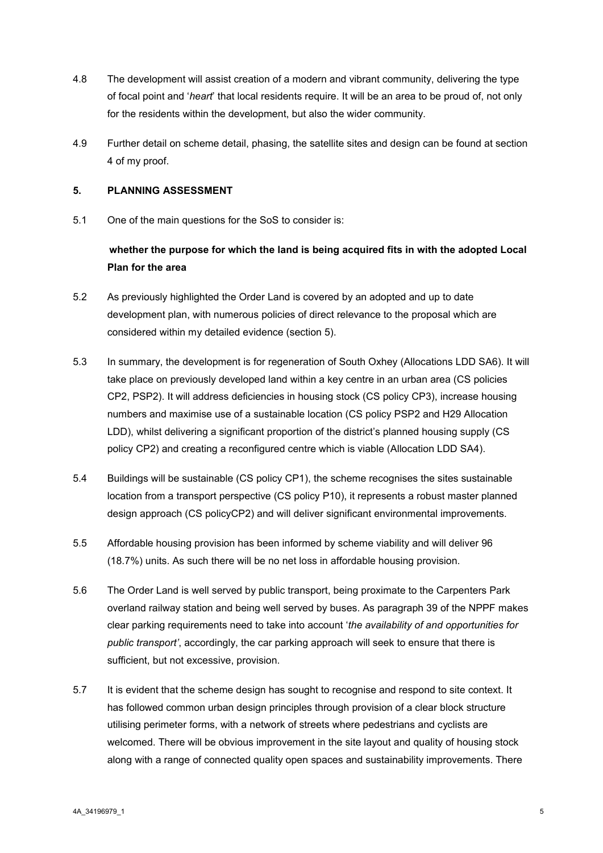- 4.8 The development will assist creation of a modern and vibrant community, delivering the type of focal point and '*heart*' that local residents require. It will be an area to be proud of, not only for the residents within the development, but also the wider community.
- 4.9 Further detail on scheme detail, phasing, the satellite sites and design can be found at section 4 of my proof.

#### <span id="page-4-0"></span>**5. PLANNING ASSESSMENT**

5.1 One of the main questions for the SoS to consider is:

## **whether the purpose for which the land is being acquired fits in with the adopted Local Plan for the area**

- 5.2 As previously highlighted the Order Land is covered by an adopted and up to date development plan, with numerous policies of direct relevance to the proposal which are considered within my detailed evidence (section 5).
- 5.3 In summary, the development is for regeneration of South Oxhey (Allocations LDD SA6). It will take place on previously developed land within a key centre in an urban area (CS policies CP2, PSP2). It will address deficiencies in housing stock (CS policy CP3), increase housing numbers and maximise use of a sustainable location (CS policy PSP2 and H29 Allocation LDD), whilst delivering a significant proportion of the district's planned housing supply (CS policy CP2) and creating a reconfigured centre which is viable (Allocation LDD SA4).
- 5.4 Buildings will be sustainable (CS policy CP1), the scheme recognises the sites sustainable location from a transport perspective (CS policy P10), it represents a robust master planned design approach (CS policyCP2) and will deliver significant environmental improvements.
- 5.5 Affordable housing provision has been informed by scheme viability and will deliver 96 (18.7%) units. As such there will be no net loss in affordable housing provision.
- 5.6 The Order Land is well served by public transport, being proximate to the Carpenters Park overland railway station and being well served by buses. As paragraph 39 of the NPPF makes clear parking requirements need to take into account '*the availability of and opportunities for public transport'*, accordingly, the car parking approach will seek to ensure that there is sufficient, but not excessive, provision.
- 5.7 It is evident that the scheme design has sought to recognise and respond to site context. It has followed common urban design principles through provision of a clear block structure utilising perimeter forms, with a network of streets where pedestrians and cyclists are welcomed. There will be obvious improvement in the site layout and quality of housing stock along with a range of connected quality open spaces and sustainability improvements. There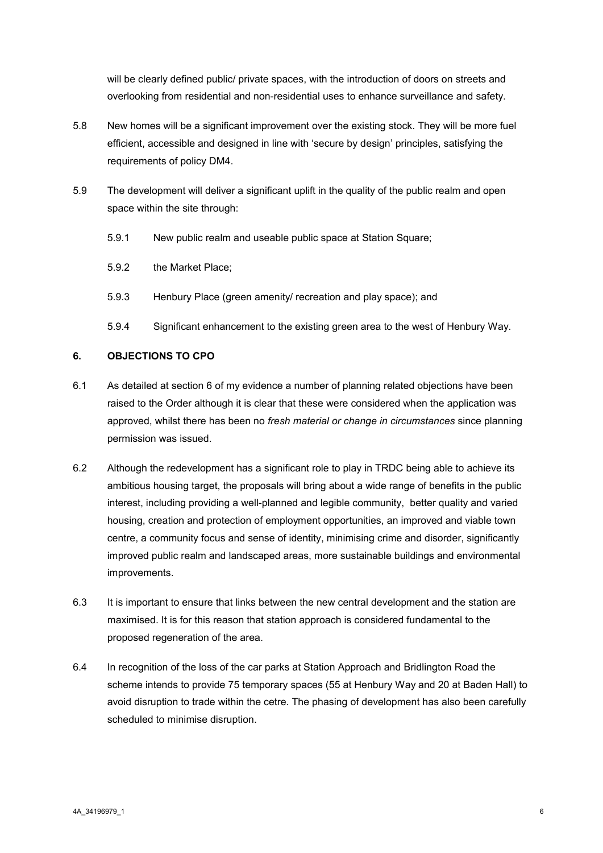will be clearly defined public/ private spaces, with the introduction of doors on streets and overlooking from residential and non-residential uses to enhance surveillance and safety.

- 5.8 New homes will be a significant improvement over the existing stock. They will be more fuel efficient, accessible and designed in line with 'secure by design' principles, satisfying the requirements of policy DM4.
- 5.9 The development will deliver a significant uplift in the quality of the public realm and open space within the site through:
	- 5.9.1 New public realm and useable public space at Station Square;
	- 5.9.2 the Market Place;
	- 5.9.3 Henbury Place (green amenity/ recreation and play space); and
	- 5.9.4 Significant enhancement to the existing green area to the west of Henbury Way.

### <span id="page-5-0"></span>**6. OBJECTIONS TO CPO**

- 6.1 As detailed at section 6 of my evidence a number of planning related objections have been raised to the Order although it is clear that these were considered when the application was approved, whilst there has been no *fresh material or change in circumstances* since planning permission was issued.
- 6.2 Although the redevelopment has a significant role to play in TRDC being able to achieve its ambitious housing target, the proposals will bring about a wide range of benefits in the public interest, including providing a well-planned and legible community, better quality and varied housing, creation and protection of employment opportunities, an improved and viable town centre, a community focus and sense of identity, minimising crime and disorder, significantly improved public realm and landscaped areas, more sustainable buildings and environmental improvements.
- 6.3 It is important to ensure that links between the new central development and the station are maximised. It is for this reason that station approach is considered fundamental to the proposed regeneration of the area.
- 6.4 In recognition of the loss of the car parks at Station Approach and Bridlington Road the scheme intends to provide 75 temporary spaces (55 at Henbury Way and 20 at Baden Hall) to avoid disruption to trade within the cetre. The phasing of development has also been carefully scheduled to minimise disruption.